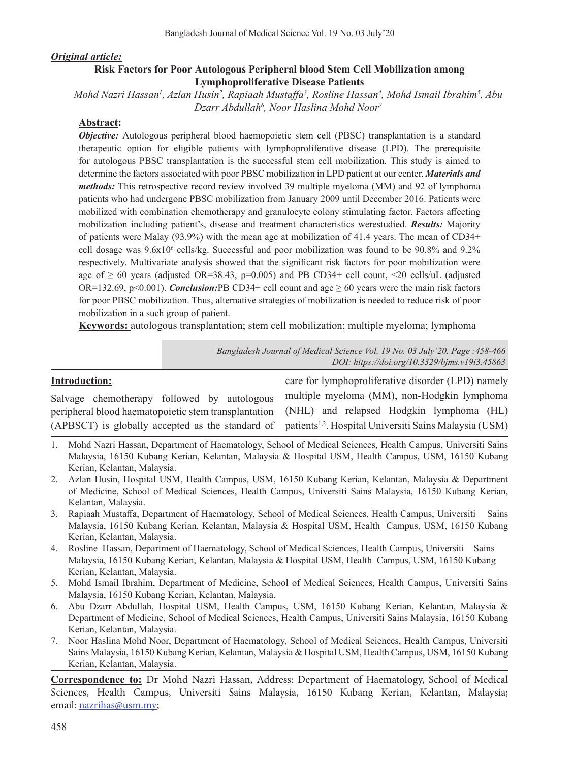#### *Original article:*

### **Risk Factors for Poor Autologous Peripheral blood Stem Cell Mobilization among Lymphoproliferative Disease Patients**

*Mohd Nazri Hassan1 , Azlan Husin2 , Rapiaah Mustaffa<sup>3</sup> , Rosline Hassan4 , Mohd Ismail Ibrahim5 , Abu Dzarr Abdullah6 , Noor Haslina Mohd Noor7*

#### **Abstract:**

*Objective:* Autologous peripheral blood haemopoietic stem cell (PBSC) transplantation is a standard therapeutic option for eligible patients with lymphoproliferative disease (LPD). The prerequisite for autologous PBSC transplantation is the successful stem cell mobilization. This study is aimed to determine the factors associated with poor PBSC mobilization in LPD patient at our center. *Materials and methods:* This retrospective record review involved 39 multiple myeloma (MM) and 92 of lymphoma patients who had undergone PBSC mobilization from January 2009 until December 2016. Patients were mobilized with combination chemotherapy and granulocyte colony stimulating factor. Factors affecting mobilization including patient's, disease and treatment characteristics werestudied. *Results:* Majority of patients were Malay (93.9%) with the mean age at mobilization of 41.4 years. The mean of CD34+ cell dosage was  $9.6x10^6$  cells/kg. Successful and poor mobilization was found to be  $90.8\%$  and  $9.2\%$ respectively. Multivariate analysis showed that the significant risk factors for poor mobilization were age of  $\geq 60$  years (adjusted OR=38.43, p=0.005) and PB CD34+ cell count, <20 cells/uL (adjusted OR=132.69, p<0.001). *Conclusion:*PB CD34+ cell count and age  $\geq$  60 years were the main risk factors for poor PBSC mobilization. Thus, alternative strategies of mobilization is needed to reduce risk of poor mobilization in a such group of patient.

**Keywords:** autologous transplantation; stem cell mobilization; multiple myeloma; lymphoma

*Bangladesh Journal of Medical Science Vol. 19 No. 03 July'20. Page :458-466 DOI: https://doi.org/10.3329/bjms.v19i3.45863*

#### **Introduction:**

Salvage chemotherapy followed by autologous peripheral blood haematopoietic stem transplantation (APBSCT) is globally accepted as the standard of

care for lymphoproliferative disorder (LPD) namely multiple myeloma (MM), non-Hodgkin lymphoma (NHL) and relapsed Hodgkin lymphoma (HL) patients1,2. Hospital Universiti Sains Malaysia (USM)

- 1. Mohd Nazri Hassan, Department of Haematology, School of Medical Sciences, Health Campus, Universiti Sains Malaysia, 16150 Kubang Kerian, Kelantan, Malaysia & Hospital USM, Health Campus, USM, 16150 Kubang Kerian, Kelantan, Malaysia.
- 2. Azlan Husin, Hospital USM, Health Campus, USM, 16150 Kubang Kerian, Kelantan, Malaysia & Department of Medicine, School of Medical Sciences, Health Campus, Universiti Sains Malaysia, 16150 Kubang Kerian, Kelantan, Malaysia.
- 3. Rapiaah Mustaffa, Department of Haematology, School of Medical Sciences, Health Campus, Universiti Sains Malaysia, 16150 Kubang Kerian, Kelantan, Malaysia & Hospital USM, Health Campus, USM, 16150 Kubang Kerian, Kelantan, Malaysia.
- 4. Rosline Hassan, Department of Haematology, School of Medical Sciences, Health Campus, Universiti Sains Malaysia, 16150 Kubang Kerian, Kelantan, Malaysia & Hospital USM, Health Campus, USM, 16150 Kubang Kerian, Kelantan, Malaysia.
- 5. Mohd Ismail Ibrahim, Department of Medicine, School of Medical Sciences, Health Campus, Universiti Sains Malaysia, 16150 Kubang Kerian, Kelantan, Malaysia.
- 6. Abu Dzarr Abdullah, Hospital USM, Health Campus, USM, 16150 Kubang Kerian, Kelantan, Malaysia & Department of Medicine, School of Medical Sciences, Health Campus, Universiti Sains Malaysia, 16150 Kubang Kerian, Kelantan, Malaysia.
- 7. Noor Haslina Mohd Noor, Department of Haematology, School of Medical Sciences, Health Campus, Universiti Sains Malaysia, 16150 Kubang Kerian, Kelantan, Malaysia & Hospital USM, Health Campus, USM, 16150 Kubang Kerian, Kelantan, Malaysia.

**Correspondence to:** Dr Mohd Nazri Hassan, Address: Department of Haematology, School of Medical Sciences, Health Campus, Universiti Sains Malaysia, 16150 Kubang Kerian, Kelantan, Malaysia; email: nazrihas@usm.my;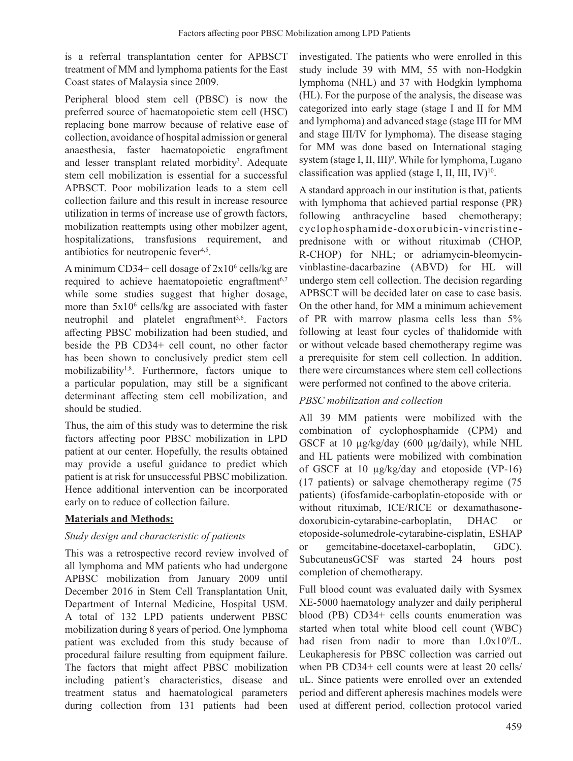is a referral transplantation center for APBSCT treatment of MM and lymphoma patients for the East Coast states of Malaysia since 2009.

Peripheral blood stem cell (PBSC) is now the preferred source of haematopoietic stem cell (HSC) replacing bone marrow because of relative ease of collection, avoidance of hospital admission or general anaesthesia, faster haematopoietic engraftment and lesser transplant related morbidity<sup>3</sup>. Adequate stem cell mobilization is essential for a successful APBSCT. Poor mobilization leads to a stem cell collection failure and this result in increase resource utilization in terms of increase use of growth factors, mobilization reattempts using other mobilzer agent, hospitalizations, transfusions requirement, and antibiotics for neutropenic fever<sup>4,5</sup>.

A minimum CD34+ cell dosage of  $2x10^6$  cells/kg are required to achieve haematopoietic engraftment $6,7$ while some studies suggest that higher dosage, more than  $5x10^6$  cells/kg are associated with faster neutrophil and platelet engraftment<sup>3,6</sup>. Factors affecting PBSC mobilization had been studied, and beside the PB CD34+ cell count, no other factor has been shown to conclusively predict stem cell mobilizability1,8. Furthermore, factors unique to a particular population, may still be a significant determinant affecting stem cell mobilization, and should be studied.

Thus, the aim of this study was to determine the risk factors affecting poor PBSC mobilization in LPD patient at our center. Hopefully, the results obtained may provide a useful guidance to predict which patient is at risk for unsuccessful PBSC mobilization. Hence additional intervention can be incorporated early on to reduce of collection failure.

### **Materials and Methods:**

#### *Study design and characteristic of patients*

This was a retrospective record review involved of all lymphoma and MM patients who had undergone APBSC mobilization from January 2009 until December 2016 in Stem Cell Transplantation Unit, Department of Internal Medicine, Hospital USM. A total of 132 LPD patients underwent PBSC mobilization during 8 years of period. One lymphoma patient was excluded from this study because of procedural failure resulting from equipment failure. The factors that might affect PBSC mobilization including patient's characteristics, disease and treatment status and haematological parameters during collection from 131 patients had been

investigated. The patients who were enrolled in this study include 39 with MM, 55 with non-Hodgkin lymphoma (NHL) and 37 with Hodgkin lymphoma (HL). For the purpose of the analysis, the disease was categorized into early stage (stage I and II for MM and lymphoma) and advanced stage (stage III for MM and stage III/IV for lymphoma). The disease staging for MM was done based on International staging system (stage I, II, III)<sup>9</sup>. While for lymphoma, Lugano classification was applied (stage I, II, III, IV) $10$ .

A standard approach in our institution is that, patients with lymphoma that achieved partial response (PR) following anthracycline based chemotherapy; cyclophosphamide-doxorubicin-vincristineprednisone with or without rituximab (CHOP, R-CHOP) for NHL; or adriamycin-bleomycinvinblastine-dacarbazine (ABVD) for HL will undergo stem cell collection. The decision regarding APBSCT will be decided later on case to case basis. On the other hand, for MM a minimum achievement of PR with marrow plasma cells less than 5% following at least four cycles of thalidomide with or without velcade based chemotherapy regime was a prerequisite for stem cell collection. In addition, there were circumstances where stem cell collections were performed not confined to the above criteria.

#### *PBSC mobilization and collection*

All 39 MM patients were mobilized with the combination of cyclophosphamide (CPM) and GSCF at 10  $\mu$ g/kg/day (600  $\mu$ g/daily), while NHL and HL patients were mobilized with combination of GSCF at 10 µg/kg/day and etoposide (VP-16) (17 patients) or salvage chemotherapy regime (75 patients) (ifosfamide-carboplatin-etoposide with or without rituximab, ICE/RICE or dexamathasonedoxorubicin-cytarabine-carboplatin, DHAC or etoposide-solumedrole-cytarabine-cisplatin, ESHAP or gemcitabine-docetaxel-carboplatin, GDC). SubcutaneusGCSF was started 24 hours post completion of chemotherapy.

Full blood count was evaluated daily with Sysmex XE-5000 haematology analyzer and daily peripheral blood (PB) CD34+ cells counts enumeration was started when total white blood cell count (WBC) had risen from nadir to more than  $1.0x10^9/L$ . Leukapheresis for PBSC collection was carried out when PB CD34+ cell counts were at least 20 cells/ uL. Since patients were enrolled over an extended period and different apheresis machines models were used at different period, collection protocol varied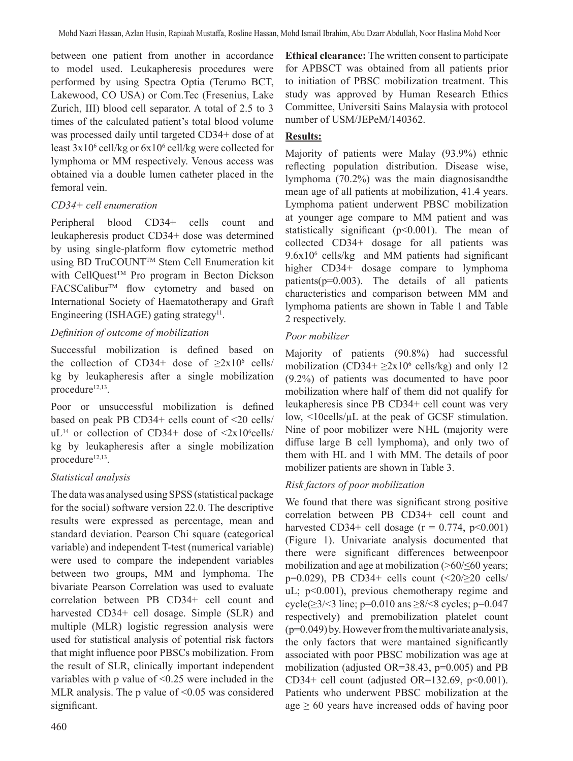between one patient from another in accordance to model used. Leukapheresis procedures were performed by using Spectra Optia (Terumo BCT, Lakewood, CO USA) or Com.Tec (Fresenius, Lake Zurich, III) blood cell separator. A total of 2.5 to 3 times of the calculated patient's total blood volume was processed daily until targeted CD34+ dose of at least 3x10<sup>6</sup> cell/kg or 6x10<sup>6</sup> cell/kg were collected for lymphoma or MM respectively. Venous access was obtained via a double lumen catheter placed in the femoral vein.

### *CD34+ cell enumeration*

Peripheral blood CD34+ cells count and leukapheresis product CD34+ dose was determined by using single-platform flow cytometric method using BD TruCOUNT™ Stem Cell Enumeration kit with CellQuest<sup>™</sup> Pro program in Becton Dickson FACSCalibur<sup>™</sup> flow cytometry and based on International Society of Haematotherapy and Graft Engineering (ISHAGE) gating strategy<sup>11</sup>.

# *Definition of outcome of mobilization*

Successful mobilization is defined based on the collection of CD34+ dose of  $\geq 2 \times 10^6$  cells/ kg by leukapheresis after a single mobilization procedure<sup>12,13</sup>.

Poor or unsuccessful mobilization is defined based on peak PB CD34+ cells count of <20 cells/  $\mu$ <sup>14</sup> or collection of CD34+ dose of <2x10<sup>6</sup>cells/ kg by leukapheresis after a single mobilization procedure<sup>12,13</sup>.

# *Statistical analysis*

The data was analysed using SPSS (statistical package for the social) software version 22.0. The descriptive results were expressed as percentage, mean and standard deviation. Pearson Chi square (categorical variable) and independent T-test (numerical variable) were used to compare the independent variables between two groups, MM and lymphoma. The bivariate Pearson Correlation was used to evaluate correlation between PB CD34+ cell count and harvested CD34+ cell dosage. Simple (SLR) and multiple (MLR) logistic regression analysis were used for statistical analysis of potential risk factors that might influence poor PBSCs mobilization. From the result of SLR, clinically important independent variables with p value of <0.25 were included in the MLR analysis. The p value of  $\leq 0.05$  was considered significant.

**Ethical clearance:** The written consent to participate for APBSCT was obtained from all patients prior to initiation of PBSC mobilization treatment. This study was approved by Human Research Ethics Committee, Universiti Sains Malaysia with protocol number of USM/JEPeM/140362.

# **Results:**

Majority of patients were Malay (93.9%) ethnic reflecting population distribution. Disease wise, lymphoma (70.2%) was the main diagnosisandthe mean age of all patients at mobilization, 41.4 years. Lymphoma patient underwent PBSC mobilization at younger age compare to MM patient and was statistically significant  $(p<0.001)$ . The mean of collected CD34+ dosage for all patients was 9.6x106 cells/kg and MM patients had significant higher CD34+ dosage compare to lymphoma patients(p=0.003). The details of all patients characteristics and comparison between MM and lymphoma patients are shown in Table 1 and Table 2 respectively.

# *Poor mobilizer*

Majority of patients (90.8%) had successful mobilization (CD34+ $\geq$ 2x10<sup>6</sup> cells/kg) and only 12 (9.2%) of patients was documented to have poor mobilization where half of them did not qualify for leukapheresis since PB CD34+ cell count was very low, <10cells/µL at the peak of GCSF stimulation. Nine of poor mobilizer were NHL (majority were diffuse large B cell lymphoma), and only two of them with HL and 1 with MM. The details of poor mobilizer patients are shown in Table 3.

# *Risk factors of poor mobilization*

We found that there was significant strong positive correlation between PB CD34+ cell count and harvested CD34+ cell dosage  $(r = 0.774, p<0.001)$ (Figure 1). Univariate analysis documented that there were significant differences betweenpoor mobilization and age at mobilization (>60/≤60 years; p=0.029), PB CD34+ cells count  $\langle 20/20 \text{ cells}/$ uL; p<0.001), previous chemotherapy regime and cycle( $\geq$ 3/<3 line; p=0.010 ans  $\geq$ 8/<8 cycles; p=0.047 respectively) and premobilization platelet count (p=0.049) by. However from the multivariate analysis, the only factors that were mantained significantly associated with poor PBSC mobilization was age at mobilization (adjusted OR=38.43, p=0.005) and PB CD34+ cell count (adjusted OR=132.69,  $p<0.001$ ). Patients who underwent PBSC mobilization at the age  $\geq 60$  years have increased odds of having poor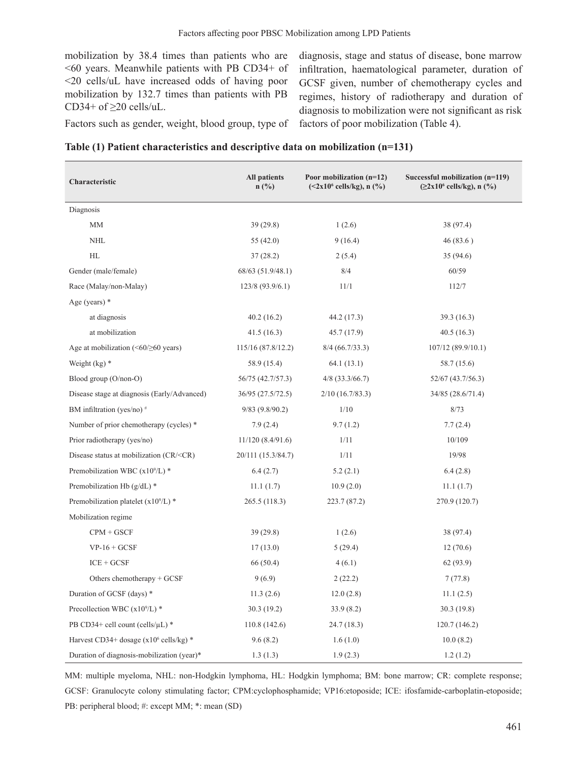mobilization by 38.4 times than patients who are <60 years. Meanwhile patients with PB CD34+ of <20 cells/uL have increased odds of having poor mobilization by 132.7 times than patients with PB CD34+ of  $\geq$ 20 cells/uL.

diagnosis, stage and status of disease, bone marrow infiltration, haematological parameter, duration of GCSF given, number of chemotherapy cycles and regimes, history of radiotherapy and duration of diagnosis to mobilization were not significant as risk factors of poor mobilization (Table 4).

Factors such as gender, weight, blood group, type of

| Table (1) Patient characteristics and descriptive data on mobilization (n=131) |  |  |  |
|--------------------------------------------------------------------------------|--|--|--|
|--------------------------------------------------------------------------------|--|--|--|

| Characteristic                                                                                                | <b>All patients</b><br>n(%) | Poor mobilization (n=12)<br>$(<2x106$ cells/kg), n $(\frac{9}{6})$ | Successful mobilization (n=119)<br>$(22x10^6 \text{ cells/kg})$ , n $(\frac{9}{6})$ |
|---------------------------------------------------------------------------------------------------------------|-----------------------------|--------------------------------------------------------------------|-------------------------------------------------------------------------------------|
| Diagnosis                                                                                                     |                             |                                                                    |                                                                                     |
| MM                                                                                                            | 39(29.8)                    | 1(2.6)                                                             | 38 (97.4)                                                                           |
| <b>NHL</b>                                                                                                    | 55(42.0)                    | 9(16.4)                                                            | 46(83.6)                                                                            |
| HL                                                                                                            | 37(28.2)                    | 2(5.4)                                                             | 35(94.6)                                                                            |
| Gender (male/female)                                                                                          | 68/63 (51.9/48.1)           | 8/4                                                                | 60/59                                                                               |
| Race (Malay/non-Malay)                                                                                        | 123/8 (93.9/6.1)            | 11/1                                                               | 112/7                                                                               |
| Age (years) $*$                                                                                               |                             |                                                                    |                                                                                     |
| at diagnosis                                                                                                  | 40.2(16.2)                  | 44.2 (17.3)                                                        | 39.3(16.3)                                                                          |
| at mobilization                                                                                               | 41.5(16.3)                  | 45.7 (17.9)                                                        | 40.5(16.3)                                                                          |
| Age at mobilization $(\leq 60/\geq 60$ years)                                                                 | 115/16 (87.8/12.2)          | $8/4$ (66.7/33.3)                                                  | 107/12 (89.9/10.1)                                                                  |
| Weight $(kg)$ *                                                                                               | 58.9 (15.4)                 | 64.1(13.1)                                                         | 58.7 (15.6)                                                                         |
| Blood group (O/non-O)                                                                                         | 56/75 (42.7/57.3)           | $4/8$ (33.3/66.7)                                                  | 52/67 (43.7/56.3)                                                                   |
| Disease stage at diagnosis (Early/Advanced)                                                                   | 36/95 (27.5/72.5)           | $2/10$ (16.7/83.3)                                                 | 34/85 (28.6/71.4)                                                                   |
| BM infiltration (yes/no) $#$                                                                                  | $9/83$ (9.8/90.2)           | 1/10                                                               | 8/73                                                                                |
| Number of prior chemotherapy (cycles) *                                                                       | 7.9(2.4)                    | 9.7(1.2)                                                           | 7.7(2.4)                                                                            |
| Prior radiotherapy (yes/no)                                                                                   | 11/120(8.4/91.6)            | 1/11                                                               | 10/109                                                                              |
| Disease status at mobilization (CR/ <cr)< td=""><td>20/111 (15.3/84.7)</td><td>1/11</td><td>19/98</td></cr)<> | 20/111 (15.3/84.7)          | 1/11                                                               | 19/98                                                                               |
| Premobilization WBC $(x109/L)$ *                                                                              | 6.4(2.7)                    | 5.2(2.1)                                                           | 6.4(2.8)                                                                            |
| Premobilization Hb $(g/dL)$ *                                                                                 | 11.1(1.7)                   | 10.9(2.0)                                                          | 11.1(1.7)                                                                           |
| Premobilization platelet $(x109/L)$ *                                                                         | 265.5 (118.3)               | 223.7 (87.2)                                                       | 270.9 (120.7)                                                                       |
| Mobilization regime                                                                                           |                             |                                                                    |                                                                                     |
| $CPM + GSCF$                                                                                                  | 39(29.8)                    | 1(2.6)                                                             | 38 (97.4)                                                                           |
| $VP-16+GCSF$                                                                                                  | 17(13.0)                    | 5(29.4)                                                            | 12(70.6)                                                                            |
| $ICE + GCSF$                                                                                                  | 66 (50.4)                   | 4(6.1)                                                             | 62 (93.9)                                                                           |
| Others chemotherapy $+$ GCSF                                                                                  | 9(6.9)                      | 2(22.2)                                                            | 7(77.8)                                                                             |
| Duration of GCSF (days) *                                                                                     | 11.3(2.6)                   | 12.0(2.8)                                                          | 11.1(2.5)                                                                           |
| Precollection WBC $(x109/L)$ <sup>*</sup>                                                                     | 30.3(19.2)                  | 33.9 (8.2)                                                         | 30.3 (19.8)                                                                         |
| PB CD34+ cell count (cells/ $\mu$ L) *                                                                        | 110.8(142.6)                | 24.7 (18.3)                                                        | 120.7(146.2)                                                                        |
| Harvest CD34+ dosage $(x10^6 \text{ cells/kg})$ *                                                             | 9.6(8.2)                    | 1.6(1.0)                                                           | 10.0(8.2)                                                                           |
| Duration of diagnosis-mobilization (year)*                                                                    | 1.3(1.3)                    | 1.9(2.3)                                                           | 1.2(1.2)                                                                            |

MM: multiple myeloma, NHL: non-Hodgkin lymphoma, HL: Hodgkin lymphoma; BM: bone marrow; CR: complete response; GCSF: Granulocyte colony stimulating factor; CPM:cyclophosphamide; VP16:etoposide; ICE: ifosfamide-carboplatin-etoposide; PB: peripheral blood; #: except MM; \*: mean (SD)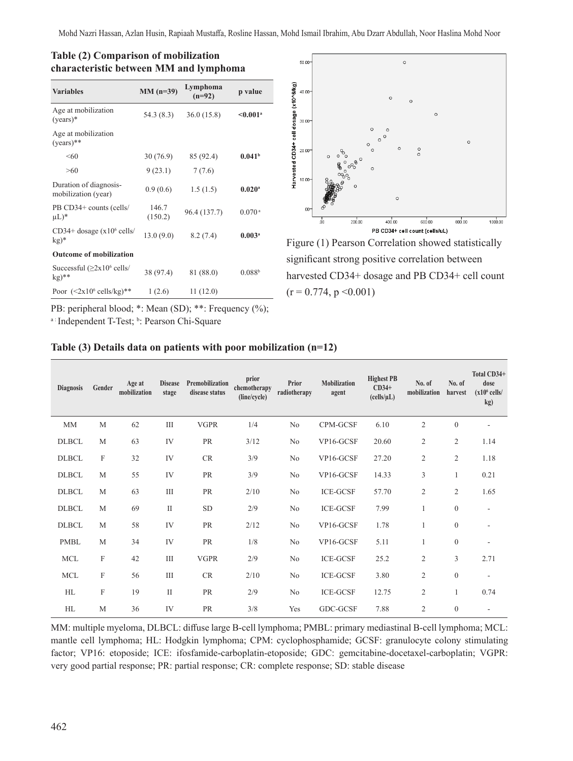| <b>Variables</b>                                     | $MM (n=39)$      | Lymphoma<br>$(n=92)$ | p value              |  |
|------------------------------------------------------|------------------|----------------------|----------------------|--|
| Age at mobilization<br>$(years)*$                    | 54.3 (8.3)       | 36.0(15.8)           | $0.001a$             |  |
| Age at mobilization<br>$(years)**$                   |                  |                      |                      |  |
| < 60                                                 | 30(76.9)         | 85 (92.4)            | 0.041 <sup>b</sup>   |  |
| >60                                                  | 9(23.1)          | 7(7.6)               |                      |  |
| Duration of diagnosis-<br>mobilization (year)        | 0.9(0.6)         | 1.5(1.5)             | $0.020$ <sup>a</sup> |  |
| PB CD34+ counts (cells/<br>$\mu L$ <sup>*</sup>      | 146.7<br>(150.2) | 96.4 (137.7)         | $0.070$ <sup>a</sup> |  |
| CD34+ dosage $(x10^6 \text{ cells}/$<br>$kg)*$       | 13.0(9.0)        | 8.2(7.4)             | $0.003$ <sup>a</sup> |  |
| <b>Outcome of mobilization</b>                       |                  |                      |                      |  |
| Successful $(\geq 2x10^6 \text{ cells}/$<br>$kg)$ ** | 38 (97.4)        | 81 (88.0)            | 0.088 <sup>b</sup>   |  |
| Poor $(<2x10^6 \text{ cells/kg})$ **                 | 1(2.6)           | 11(12.0)             |                      |  |





Figure (1) Pearson Correlation showed statistically significant strong positive correlation between harvested CD34+ dosage and PB CD34+ cell count  $(r = 0.774, p \le 0.001)$ 

PB: peripheral blood; \*: Mean (SD); \*\*: Frequency (%);

a: Independent T-Test; b: Pearson Chi-Square

#### **Table (3) Details data on patients with poor mobilization (n=12)**

| <b>Diagnosis</b> | Gender                    | Age at<br>mobilization | <b>Disease</b><br>stage | Premobilization<br>disease status | prior<br>chemotherapy<br>(line/cycle) | Prior<br>radiotherapy | Mobilization<br>agent | <b>Highest PB</b><br>$CD34+$<br>(cells/µL) | No. of<br>mobilization | No. of<br>harvest | Total CD34+<br>dose<br>$(x106$ cells/<br>kg) |
|------------------|---------------------------|------------------------|-------------------------|-----------------------------------|---------------------------------------|-----------------------|-----------------------|--------------------------------------------|------------------------|-------------------|----------------------------------------------|
| MM               | M                         | 62                     | Ш                       | <b>VGPR</b>                       | 1/4                                   | No                    | CPM-GCSF              | 6.10                                       | $\mathfrak{2}$         | $\boldsymbol{0}$  |                                              |
| <b>DLBCL</b>     | M                         | 63                     | IV                      | PR                                | 3/12                                  | No                    | VP16-GCSF             | 20.60                                      | $\mathfrak{2}$         | 2                 | 1.14                                         |
| <b>DLBCL</b>     | F                         | 32                     | IV                      | CR                                | 3/9                                   | No                    | VP16-GCSF             | 27.20                                      | $\overline{c}$         | $\mathbf{2}$      | 1.18                                         |
| <b>DLBCL</b>     | M                         | 55                     | IV                      | PR                                | 3/9                                   | No                    | VP16-GCSF             | 14.33                                      | 3                      | 1                 | 0.21                                         |
| <b>DLBCL</b>     | M                         | 63                     | Ш                       | PR                                | 2/10                                  | No                    | <b>ICE-GCSF</b>       | 57.70                                      | $\overline{c}$         | 2                 | 1.65                                         |
| <b>DLBCL</b>     | M                         | 69                     | $\mathbf{I}$            | <b>SD</b>                         | 2/9                                   | No                    | <b>ICE-GCSF</b>       | 7.99                                       | 1                      | $\mathbf{0}$      | $\sim$                                       |
| <b>DLBCL</b>     | M                         | 58                     | IV                      | PR                                | 2/12                                  | No                    | VP16-GCSF             | 1.78                                       |                        | $\boldsymbol{0}$  | $\overline{\phantom{a}}$                     |
| <b>PMBL</b>      | M                         | 34                     | IV                      | PR                                | 1/8                                   | No                    | VP16-GCSF             | 5.11                                       | 1                      | $\boldsymbol{0}$  | $\overline{\phantom{a}}$                     |
| <b>MCL</b>       | F                         | 42                     | III                     | <b>VGPR</b>                       | 2/9                                   | No                    | <b>ICE-GCSF</b>       | 25.2                                       | $\overline{c}$         | 3                 | 2.71                                         |
| <b>MCL</b>       | $\boldsymbol{\mathrm{F}}$ | 56                     | III                     | CR                                | 2/10                                  | No                    | <b>ICE-GCSF</b>       | 3.80                                       | $\overline{2}$         | $\boldsymbol{0}$  | $\overline{\phantom{a}}$                     |
| HL               | $\boldsymbol{\mathrm{F}}$ | 19                     | $\mathbf{I}$            | PR                                | 2/9                                   | No                    | <b>ICE-GCSF</b>       | 12.75                                      | $\overline{2}$         | 1                 | 0.74                                         |
| HL               | M                         | 36                     | IV                      | PR                                | 3/8                                   | Yes                   | GDC-GCSF              | 7.88                                       | $\overline{2}$         | $\mathbf{0}$      |                                              |

MM: multiple myeloma, DLBCL: diffuse large B-cell lymphoma; PMBL: primary mediastinal B-cell lymphoma; MCL: mantle cell lymphoma; HL: Hodgkin lymphoma; CPM: cyclophosphamide; GCSF: granulocyte colony stimulating factor; VP16: etoposide; ICE: ifosfamide-carboplatin-etoposide; GDC: gemcitabine-docetaxel-carboplatin; VGPR: very good partial response; PR: partial response; CR: complete response; SD: stable disease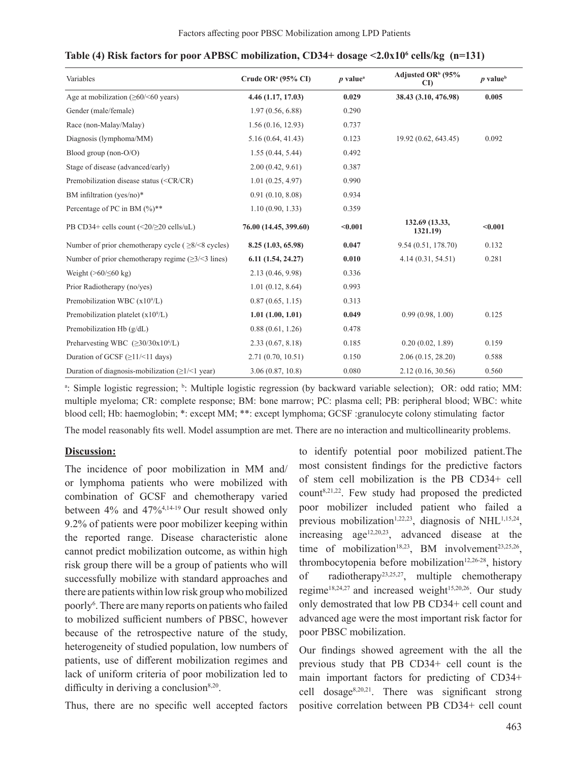| Variables                                                                                                         | Crude OR <sup>a</sup> (95% CI) | $p$ value <sup>a</sup> | Adjusted OR <sup>b</sup> (95%<br>CI) | $p$ value <sup>b</sup> |  |
|-------------------------------------------------------------------------------------------------------------------|--------------------------------|------------------------|--------------------------------------|------------------------|--|
| Age at mobilization $(\geq 60/\leq 60$ years)                                                                     | 4.46 (1.17, 17.03)             | 0.029                  | 38.43 (3.10, 476.98)                 | 0.005                  |  |
| Gender (male/female)                                                                                              | 1.97(0.56, 6.88)               | 0.290                  |                                      |                        |  |
| Race (non-Malay/Malay)                                                                                            | 1.56(0.16, 12.93)              | 0.737                  |                                      |                        |  |
| Diagnosis (lymphoma/MM)                                                                                           | 5.16(0.64, 41.43)              | 0.123                  | 19.92 (0.62, 643.45)                 | 0.092                  |  |
| Blood group (non-O/O)                                                                                             | 1.55(0.44, 5.44)               | 0.492                  |                                      |                        |  |
| Stage of disease (advanced/early)                                                                                 | 2.00(0.42, 9.61)               | 0.387                  |                                      |                        |  |
| Premobilization disease status ( <cr cr)<="" td=""><td>1.01(0.25, 4.97)</td><td>0.990</td><td></td><td></td></cr> | 1.01(0.25, 4.97)               | 0.990                  |                                      |                        |  |
| BM infiltration (yes/no)*                                                                                         | 0.91(0.10, 8.08)               | 0.934                  |                                      |                        |  |
| Percentage of PC in BM $(\%)**$                                                                                   | 1.10(0.90, 1.33)               | 0.359                  |                                      |                        |  |
| PB CD34+ cells count $(\leq 20/\geq 20 \text{ cells/}uL)$                                                         | 76.00 (14.45, 399.60)          | < 0.001                | 132.69 (13.33,<br>1321.19)           | $0.001$                |  |
| Number of prior chemotherapy cycle ( $\geq 8$ / $\leq$ 8 cycles)                                                  | 8.25 (1.03, 65.98)             | 0.047                  | 9.54(0.51, 178.70)                   | 0.132                  |  |
| Number of prior chemotherapy regime $(\geq 3/\leq 3)$ lines)                                                      | 6.11(1.54, 24.27)              | 0.010                  | 4.14(0.31, 54.51)                    | 0.281                  |  |
| Weight $($ >60/ $\leq$ 60 kg)                                                                                     | 2.13(0.46, 9.98)               | 0.336                  |                                      |                        |  |
| Prior Radiotherapy (no/yes)                                                                                       | 1.01(0.12, 8.64)               | 0.993                  |                                      |                        |  |
| Premobilization WBC $(x109/L)$                                                                                    | 0.87(0.65, 1.15)               | 0.313                  |                                      |                        |  |
| Premobilization platelet $(x109/L)$                                                                               | 1.01(1.00, 1.01)               | 0.049                  | 0.99(0.98, 1.00)                     | 0.125                  |  |
| Premobilization Hb (g/dL)                                                                                         | 0.88(0.61, 1.26)               | 0.478                  |                                      |                        |  |
| Preharvesting WBC $(\geq 30/30x10^6/L)$                                                                           | 2.33(0.67, 8.18)               | 0.185                  | 0.20(0.02, 1.89)                     | 0.159                  |  |
| Duration of GCSF $(\geq 11/\leq 11)$ days)                                                                        | 2.71 (0.70, 10.51)             | 0.150                  | 2.06(0.15, 28.20)                    | 0.588                  |  |
| Duration of diagnosis-mobilization $(\geq 1/\leq 1$ year)                                                         | 3.06(0.87, 10.8)               | 0.080                  | 2.12 (0.16, 30.56)                   | 0.560                  |  |

### **Table (4) Risk factors for poor APBSC mobilization, CD34+ dosage <2.0x106 cells/kg (n=131)**

<sup>a</sup>: Simple logistic regression; <sup>b</sup>: Multiple logistic regression (by backward variable selection); OR: odd ratio; MM: multiple myeloma; CR: complete response; BM: bone marrow; PC: plasma cell; PB: peripheral blood; WBC: white blood cell; Hb: haemoglobin; \*: except MM; \*\*: except lymphoma; GCSF :granulocyte colony stimulating factor

The model reasonably fits well. Model assumption are met. There are no interaction and multicollinearity problems.

# **Discussion:**

The incidence of poor mobilization in MM and/ or lymphoma patients who were mobilized with combination of GCSF and chemotherapy varied between 4% and 47%4,14-19 Our result showed only 9.2% of patients were poor mobilizer keeping within the reported range. Disease characteristic alone cannot predict mobilization outcome, as within high risk group there will be a group of patients who will successfully mobilize with standard approaches and there are patients within low risk group who mobilized poorly<sup>6</sup>. There are many reports on patients who failed to mobilized sufficient numbers of PBSC, however because of the retrospective nature of the study, heterogeneity of studied population, low numbers of patients, use of different mobilization regimes and lack of uniform criteria of poor mobilization led to difficulty in deriving a conclusion $8,20$ .

Thus, there are no specific well accepted factors

to identify potential poor mobilized patient.The most consistent findings for the predictive factors of stem cell mobilization is the PB CD34+ cell  $count^{8,21,22}$ . Few study had proposed the predicted poor mobilizer included patient who failed a previous mobilization<sup>1,22,23</sup>, diagnosis of NHL<sup>1,15,24</sup>, increasing  $age^{12,20,23}$ , advanced disease at the time of mobilization<sup>18,23</sup>, BM involvement<sup>23,25,26</sup>, thrombocytopenia before mobilization<sup>12,26-28</sup>, history of radiotherapy23,25,27, multiple chemotherapy regime<sup>18,24,27</sup> and increased weight<sup>15,20,26</sup>. Our study only demostrated that low PB CD34+ cell count and advanced age were the most important risk factor for poor PBSC mobilization.

Our findings showed agreement with the all the previous study that PB CD34+ cell count is the main important factors for predicting of CD34+ cell dosage8,20,21. There was significant strong positive correlation between PB CD34+ cell count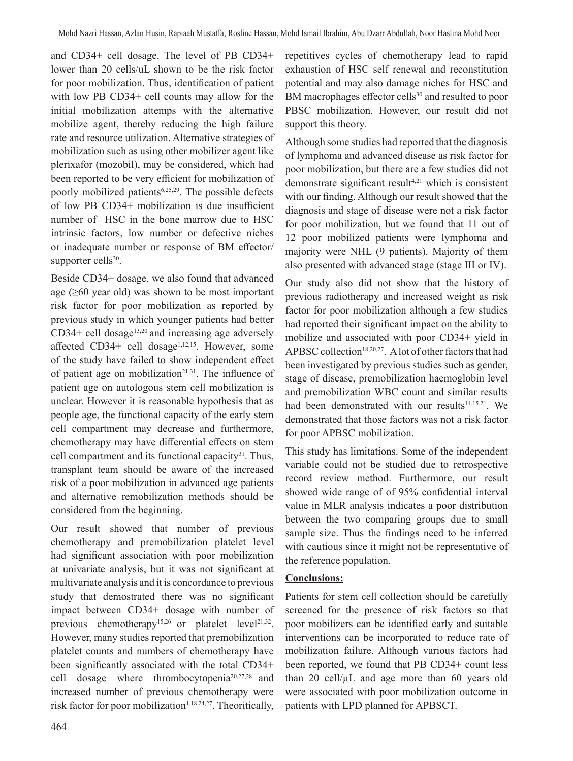and CD34+ cell dosage. The level of PB CD34+ lower than 20 cells/uL shown to be the risk factor for poor mobilization. Thus, identification of patient with low PB CD34+ cell counts may allow for the initial mobilization attemps with the alternative mobilize agent, thereby reducing the high failure rate and resource utilization. Alternative strategies of mobilization such as using other mobilizer agent like plerixafor (mozobil), may be considered, which had been reported to be very efficient for mobilization of poorly mobilized patients<sup>6,25,29</sup>. The possible defects of low PB CD34+ mobilization is due insufficient number of HSC in the bone marrow due to HSC intrinsic factors, low number or defective niches or inadequate number or response of BM effector/ supporter cells<sup>30</sup>.

Beside CD34+ dosage, we also found that advanced age  $(\geq 60$  year old) was shown to be most important risk factor for poor mobilization as reported by previous study in which younger patients had better  $CD34+$  cell dosage<sup>13,20</sup> and increasing age adversely affected CD34+ cell dosage<sup>1,12,15</sup>. However, some of the study have failed to show independent effect of patient age on mobilization $2^{1,31}$ . The influence of patient age on autologous stem cell mobilization is unclear. However it is reasonable hypothesis that as people age, the functional capacity of the early stem cell compartment may decrease and furthermore, chemotherapy may have differential effects on stem cell compartment and its functional capacity $31$ . Thus, transplant team should be aware of the increased risk of a poor mobilization in advanced age patients and alternative remobilization methods should be considered from the beginning.

Our result showed that number of previous chemotherapy and premobilization platelet level had significant association with poor mobilization at univariate analysis, but it was not significant at multivariate analysis and it is concordance to previous study that demostrated there was no significant impact between CD34+ dosage with number of previous chemotherapy<sup>15,26</sup> or platelet level<sup>21,32</sup>. However, many studies reported that premobilization platelet counts and numbers of chemotherapy have been significantly associated with the total CD34+ cell dosage where thrombocytopenia20,27,28 and increased number of previous chemotherapy were risk factor for poor mobilization<sup>1,18,24,27</sup>. Theoritically, repetitives cycles of chemotherapy lead to rapid exhaustion of HSC self renewal and reconstitution potential and may also damage niches for HSC and BM macrophages effector cells<sup>30</sup> and resulted to poor PBSC mobilization. However, our result did not support this theory.

Although some studies had reported that the diagnosis of lymphoma and advanced disease as risk factor for poor mobilization, but there are a few studies did not demonstrate significant result<sup>4,21</sup> which is consistent with our finding. Although our result showed that the diagnosis and stage of disease were not a risk factor for poor mobilization, but we found that 11 out of 12 poor mobilized patients were lymphoma and majority were NHL (9 patients). Majority of them also presented with advanced stage (stage III or IV).

Our study also did not show that the history of previous radiotherapy and increased weight as risk factor for poor mobilization although a few studies had reported their significant impact on the ability to mobilize and associated with poor CD34+ yield in APBSC collection<sup>18,20,27</sup>. A lot of other factors that had been investigated by previous studies such as gender, stage of disease, premobilization haemoglobin level and premobilization WBC count and similar results had been demonstrated with our results<sup>14,15,21</sup>. We demonstrated that those factors was not a risk factor for poor APBSC mobilization.

This study has limitations. Some of the independent variable could not be studied due to retrospective record review method. Furthermore, our result showed wide range of of 95% confidential interval value in MLR analysis indicates a poor distribution between the two comparing groups due to small sample size. Thus the findings need to be inferred with cautious since it might not be representative of the reference population.

# **Conclusions:**

Patients for stem cell collection should be carefully screened for the presence of risk factors so that poor mobilizers can be identified early and suitable interventions can be incorporated to reduce rate of mobilization failure. Although various factors had been reported, we found that PB CD34+ count less than 20 cell/ $\mu$ L and age more than 60 years old were associated with poor mobilization outcome in patients with LPD planned for APBSCT.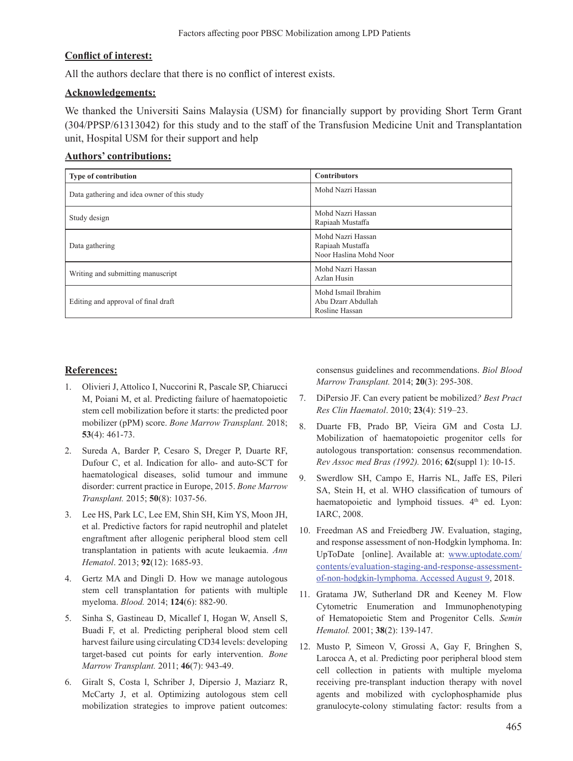### **Conflict of interest:**

All the authors declare that there is no conflict of interest exists.

#### **Acknowledgements:**

We thanked the Universiti Sains Malaysia (USM) for financially support by providing Short Term Grant (304/PPSP/61313042) for this study and to the staff of the Transfusion Medicine Unit and Transplantation unit, Hospital USM for their support and help

### **Authors' contributions:**

| <b>Type of contribution</b>                 | <b>Contributors</b>                                             |
|---------------------------------------------|-----------------------------------------------------------------|
| Data gathering and idea owner of this study | Mohd Nazri Hassan                                               |
| Study design                                | Mohd Nazri Hassan<br>Rapiaah Mustaffa                           |
| Data gathering                              | Mohd Nazri Hassan<br>Rapiaah Mustaffa<br>Noor Haslina Mohd Noor |
| Writing and submitting manuscript           | Mohd Nazri Hassan<br>Azlan Husin                                |
| Editing and approval of final draft         | Mohd Ismail Ibrahim<br>Abu Dzarr Abdullah<br>Rosline Hassan     |

### **References:**

- 1. Olivieri J, Attolico I, Nuccorini R, Pascale SP, Chiarucci M, Poiani M, et al. Predicting failure of haematopoietic stem cell mobilization before it starts: the predicted poor mobilizer (pPM) score. *Bone Marrow Transplant.* 2018; **53**(4): 461-73.
- 2. Sureda A, Barder P, Cesaro S, Dreger P, Duarte RF, Dufour C, et al. Indication for allo- and auto-SCT for haematological diseases, solid tumour and immune disorder: current practice in Europe, 2015. *Bone Marrow Transplant.* 2015; **50**(8): 1037-56.
- 3. Lee HS, Park LC, Lee EM, Shin SH, Kim YS, Moon JH, et al. Predictive factors for rapid neutrophil and platelet engraftment after allogenic peripheral blood stem cell transplantation in patients with acute leukaemia. *Ann Hematol*. 2013; **92**(12): 1685-93.
- 4. Gertz MA and Dingli D. How we manage autologous stem cell transplantation for patients with multiple myeloma. *Blood.* 2014; **124**(6): 882-90.
- 5. Sinha S, Gastineau D, Micallef I, Hogan W, Ansell S, Buadi F, et al. Predicting peripheral blood stem cell harvest failure using circulating CD34 levels: developing target-based cut points for early intervention. *Bone Marrow Transplant.* 2011; **46**(7): 943-49.
- 6. Giralt S, Costa l, Schriber J, Dipersio J, Maziarz R, McCarty J, et al. Optimizing autologous stem cell mobilization strategies to improve patient outcomes:

consensus guidelines and recommendations. *Biol Blood Marrow Transplant.* 2014; **20**(3): 295-308.

- 7. DiPersio JF. Can every patient be mobilized*? Best Pract Res Clin Haematol*. 2010; **23**(4): 519–23.
- 8. Duarte FB, Prado BP, Vieira GM and Costa LJ. Mobilization of haematopoietic progenitor cells for autologous transportation: consensus recommendation. *Rev Assoc med Bras (1992).* 2016; **62**(suppl 1): 10-15.
- 9. Swerdlow SH, Campo E, Harris NL, Jaffe ES, Pileri SA, Stein H, et al. WHO classification of tumours of haematopoietic and lymphoid tissues. 4<sup>th</sup> ed. Lyon: IARC, 2008.
- 10. Freedman AS and Freiedberg JW. Evaluation, staging, and response assessment of non-Hodgkin lymphoma. In: UpToDate [online]. Available at: www.uptodate.com/ contents/evaluation-staging-and-response-assessmentof-non-hodgkin-lymphoma. Accessed August 9, 2018.
- 11. Gratama JW, Sutherland DR and Keeney M. Flow Cytometric Enumeration and Immunophenotyping of Hematopoietic Stem and Progenitor Cells. *Semin Hematol.* 2001; **38**(2): 139-147.
- 12. Musto P, Simeon V, Grossi A, Gay F, Bringhen S, Larocca A, et al. Predicting poor peripheral blood stem cell collection in patients with multiple myeloma receiving pre-transplant induction therapy with novel agents and mobilized with cyclophosphamide plus granulocyte-colony stimulating factor: results from a